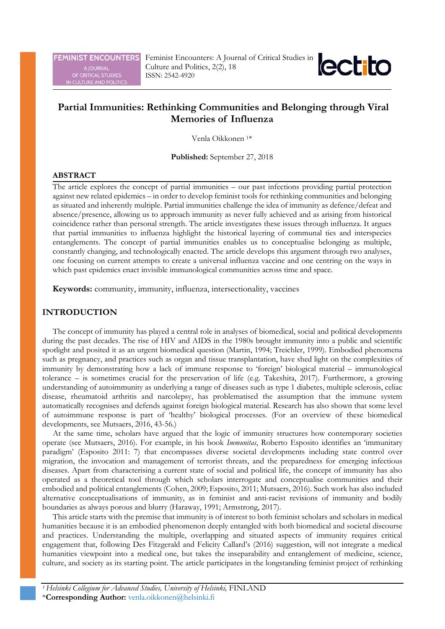**FEMINIST ENCOUNTERS** 

A JOURNAL<br>OF CRITICAL STUDIES<br>IN CULTURE AND POLITICS



# **Partial Immunities: Rethinking Communities and Belonging through Viral Memories of Influenza**

Venla Oikkonen 1\*

**Published:** September 27, 2018

#### **ABSTRACT**

The article explores the concept of partial immunities – our past infections providing partial protection against new related epidemics – in order to develop feminist tools for rethinking communities and belonging as situated and inherently multiple. Partial immunities challenge the idea of immunity as defence/defeat and absence/presence, allowing us to approach immunity as never fully achieved and as arising from historical coincidence rather than personal strength. The article investigates these issues through influenza. It argues that partial immunities to influenza highlight the historical layering of communal ties and interspecies entanglements. The concept of partial immunities enables us to conceptualise belonging as multiple, constantly changing, and technologically enacted. The article develops this argument through two analyses, one focusing on current attempts to create a universal influenza vaccine and one centring on the ways in which past epidemics enact invisible immunological communities across time and space.

**Keywords:** community, immunity, influenza, intersectionality, vaccines

## **INTRODUCTION**

The concept of immunity has played a central role in analyses of biomedical, social and political developments during the past decades. The rise of HIV and AIDS in the 1980s brought immunity into a public and scientific spotlight and posited it as an urgent biomedical question (Martin, 1994; Treichler, 1999). Embodied phenomena such as pregnancy, and practices such as organ and tissue transplantation, have shed light on the complexities of immunity by demonstrating how a lack of immune response to 'foreign' biological material – immunological tolerance – is sometimes crucial for the preservation of life (e.g. Takeshita, 2017). Furthermore, a growing understanding of autoimmunity as underlying a range of diseases such as type 1 diabetes, multiple sclerosis, celiac disease, rheumatoid arthritis and narcolepsy, has problematised the assumption that the immune system automatically recognises and defends against foreign biological material. Research has also shown that some level of autoimmune response is part of 'healthy' biological processes. (For an overview of these biomedical developments, see Mutsaers, 2016, 43-56.)

At the same time, scholars have argued that the logic of immunity structures how contemporary societies operate (see Mutsaers, 2016). For example, in his book *Immunitas*, Roberto Esposito identifies an 'immunitary paradigm' (Esposito 2011: 7) that encompasses diverse societal developments including state control over migration, the invocation and management of terrorist threats, and the preparedness for emerging infectious diseases. Apart from characterising a current state of social and political life, the concept of immunity has also operated as a theoretical tool through which scholars interrogate and conceptualise communities and their embodied and political entanglements (Cohen, 2009; Esposito, 2011; Mutsaers, 2016). Such work has also included alternative conceptualisations of immunity, as in feminist and anti-racist revisions of immunity and bodily boundaries as always porous and blurry (Haraway, 1991; Armstrong, 2017).

This article starts with the premise that immunity is of interest to both feminist scholars and scholars in medical humanities because it is an embodied phenomenon deeply entangled with both biomedical and societal discourse and practices. Understanding the multiple, overlapping and situated aspects of immunity requires critical engagement that, following Des Fitzgerald and Felicity Callard's (2016) suggestion, will not integrate a medical humanities viewpoint into a medical one, but takes the inseparability and entanglement of medicine, science, culture, and society as its starting point. The article participates in the longstanding feminist project of rethinking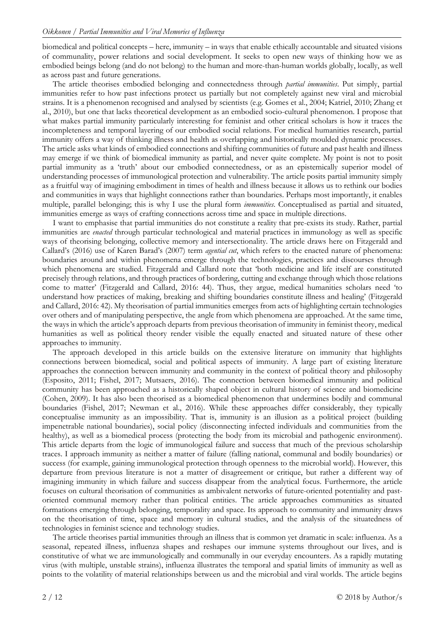biomedical and political concepts – here, immunity – in ways that enable ethically accountable and situated visions of communality, power relations and social development. It seeks to open new ways of thinking how we as embodied beings belong (and do not belong) to the human and more-than-human worlds globally, locally, as well as across past and future generations.

The article theorises embodied belonging and connectedness through *partial immunities*. Put simply, partial immunities refer to how past infections protect us partially but not completely against new viral and microbial strains. It is a phenomenon recognised and analysed by scientists (e.g. Gomes et al., 2004; Katriel, 2010; Zhang et al., 2010), but one that lacks theoretical development as an embodied socio-cultural phenomenon. I propose that what makes partial immunity particularly interesting for feminist and other critical scholars is how it traces the incompleteness and temporal layering of our embodied social relations. For medical humanities research, partial immunity offers a way of thinking illness and health as overlapping and historically moulded dynamic processes. The article asks what kinds of embodied connections and shifting communities of future and past health and illness may emerge if we think of biomedical immunity as partial, and never quite complete. My point is not to posit partial immunity as a 'truth' about our embodied connectedness, or as an epistemically superior model of understanding processes of immunological protection and vulnerability. The article posits partial immunity simply as a fruitful way of imagining embodiment in times of health and illness because it allows us to rethink our bodies and communities in ways that highlight connections rather than boundaries. Perhaps most importantly, it enables multiple, parallel belonging; this is why I use the plural form *immunities*. Conceptualised as partial and situated, immunities emerge as ways of crafting connections across time and space in multiple directions.

I want to emphasise that partial immunities do not constitute a reality that pre-exists its study. Rather, partial immunities are *enacted* through particular technological and material practices in immunology as well as specific ways of theorising belonging, collective memory and intersectionality. The article draws here on Fitzgerald and Callard's (2016) use of Karen Barad's (2007) term *agential cut*, which refers to the enacted nature of phenomena: boundaries around and within phenomena emerge through the technologies, practices and discourses through which phenomena are studied. Fitzgerald and Callard note that 'both medicine and life itself are constituted precisely through relations, and through practices of bordering, cutting and exchange through which those relations come to matter' (Fitzgerald and Callard, 2016: 44). Thus, they argue, medical humanities scholars need 'to understand how practices of making, breaking and shifting boundaries constitute illness and healing' (Fitzgerald and Callard, 2016: 42). My theorisation of partial immunities emerges from acts of highlighting certain technologies over others and of manipulating perspective, the angle from which phenomena are approached. At the same time, the ways in which the article's approach departs from previous theorisation of immunity in feminist theory, medical humanities as well as political theory render visible the equally enacted and situated nature of these other approaches to immunity.

The approach developed in this article builds on the extensive literature on immunity that highlights connections between biomedical, social and political aspects of immunity. A large part of existing literature approaches the connection between immunity and community in the context of political theory and philosophy (Esposito, 2011; Fishel, 2017; Mutsaers, 2016). The connection between biomedical immunity and political community has been approached as a historically shaped object in cultural history of science and biomedicine (Cohen, 2009). It has also been theorised as a biomedical phenomenon that undermines bodily and communal boundaries (Fishel, 2017; Newman et al., 2016). While these approaches differ considerably, they typically conceptualise immunity as an impossibility. That is, immunity is an illusion as a political project (building impenetrable national boundaries), social policy (disconnecting infected individuals and communities from the healthy), as well as a biomedical process (protecting the body from its microbial and pathogenic environment). This article departs from the logic of immunological failure and success that much of the previous scholarship traces. I approach immunity as neither a matter of failure (falling national, communal and bodily boundaries) or success (for example, gaining immunological protection through openness to the microbial world). However, this departure from previous literature is not a matter of disagreement or critique, but rather a different way of imagining immunity in which failure and success disappear from the analytical focus. Furthermore, the article focuses on cultural theorisation of communities as ambivalent networks of future-oriented potentiality and pastoriented communal memory rather than political entities. The article approaches communities as situated formations emerging through belonging, temporality and space. Its approach to community and immunity draws on the theorisation of time, space and memory in cultural studies, and the analysis of the situatedness of technologies in feminist science and technology studies.

The article theorises partial immunities through an illness that is common yet dramatic in scale: influenza. As a seasonal, repeated illness, influenza shapes and reshapes our immune systems throughout our lives, and is constitutive of what we are immunologically and communally in our everyday encounters. As a rapidly mutating virus (with multiple, unstable strains), influenza illustrates the temporal and spatial limits of immunity as well as points to the volatility of material relationships between us and the microbial and viral worlds. The article begins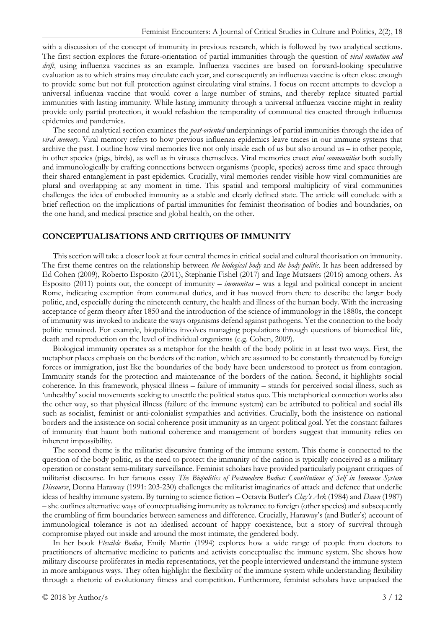with a discussion of the concept of immunity in previous research, which is followed by two analytical sections. The first section explores the future-orientation of partial immunities through the question of *viral mutation and drift*, using influenza vaccines as an example. Influenza vaccines are based on forward-looking speculative evaluation as to which strains may circulate each year, and consequently an influenza vaccine is often close enough to provide some but not full protection against circulating viral strains. I focus on recent attempts to develop a universal influenza vaccine that would cover a large number of strains, and thereby replace situated partial immunities with lasting immunity. While lasting immunity through a universal influenza vaccine might in reality provide only partial protection, it would refashion the temporality of communal ties enacted through influenza epidemics and pandemics.

The second analytical section examines the *past-oriented* underpinnings of partial immunities through the idea of *viral memory*. Viral memory refers to how previous influenza epidemics leave traces in our immune systems that archive the past. I outline how viral memories live not only inside each of us but also around us – in other people, in other species (pigs, birds), as well as in viruses themselves. Viral memories enact *viral communities* both socially and immunologically by crafting connections between organisms (people, species) across time and space through their shared entanglement in past epidemics. Crucially, viral memories render visible how viral communities are plural and overlapping at any moment in time. This spatial and temporal multiplicity of viral communities challenges the idea of embodied immunity as a stable and clearly defined state. The article will conclude with a brief reflection on the implications of partial immunities for feminist theorisation of bodies and boundaries, on the one hand, and medical practice and global health, on the other.

#### **CONCEPTUALISATIONS AND CRITIQUES OF IMMUNITY**

This section will take a closer look at four central themes in critical social and cultural theorisation on immunity. The first theme centres on the relationship between *the biological body* and *the body politic*. It has been addressed by Ed Cohen (2009), Roberto Esposito (2011), Stephanie Fishel (2017) and Inge Mutsaers (2016) among others. As Esposito (2011) points out, the concept of immunity – *immunitas* – was a legal and political concept in ancient Rome, indicating exemption from communal duties, and it has moved from there to describe the larger body politic, and, especially during the nineteenth century, the health and illness of the human body. With the increasing acceptance of germ theory after 1850 and the introduction of the science of immunology in the 1880s, the concept of immunity was invoked to indicate the ways organisms defend against pathogens. Yet the connection to the body politic remained. For example, biopolitics involves managing populations through questions of biomedical life, death and reproduction on the level of individual organisms (e.g. Cohen, 2009).

Biological immunity operates as a metaphor for the health of the body politic in at least two ways. First, the metaphor places emphasis on the borders of the nation, which are assumed to be constantly threatened by foreign forces or immigration, just like the boundaries of the body have been understood to protect us from contagion. Immunity stands for the protection and maintenance of the borders of the nation. Second, it highlights social coherence. In this framework, physical illness – failure of immunity – stands for perceived social illness, such as 'unhealthy' social movements seeking to unsettle the political status quo. This metaphorical connection works also the other way, so that physical illness (failure of the immune system) can be attributed to political and social ills such as socialist, feminist or anti-colonialist sympathies and activities. Crucially, both the insistence on national borders and the insistence on social coherence posit immunity as an urgent political goal. Yet the constant failures of immunity that haunt both national coherence and management of borders suggest that immunity relies on inherent impossibility.

The second theme is the militarist discursive framing of the immune system. This theme is connected to the question of the body politic, as the need to protect the immunity of the nation is typically conceived as a military operation or constant semi-military surveillance. Feminist scholars have provided particularly poignant critiques of militarist discourse. In her famous essay *The Biopolitics of Postmodern Bodies: Constitutions of Self in Immune System Discourse*, Donna Haraway (1991: 203-230) challenges the militarist imaginaries of attack and defence that underlie ideas of healthy immune system. By turning to science fiction – Octavia Butler's *Clay's Ark* (1984) and *Dawn* (1987) – she outlines alternative ways of conceptualising immunity as tolerance to foreign (other species) and subsequently the crumbling of firm boundaries between sameness and difference. Crucially, Haraway's (and Butler's) account of immunological tolerance is not an idealised account of happy coexistence, but a story of survival through compromise played out inside and around the most intimate, the gendered body.

In her book *Flexible Bodies*, Emily Martin (1994) explores how a wide range of people from doctors to practitioners of alternative medicine to patients and activists conceptualise the immune system. She shows how military discourse proliferates in media representations, yet the people interviewed understand the immune system in more ambiguous ways. They often highlight the flexibility of the immune system while understanding flexibility through a rhetoric of evolutionary fitness and competition. Furthermore, feminist scholars have unpacked the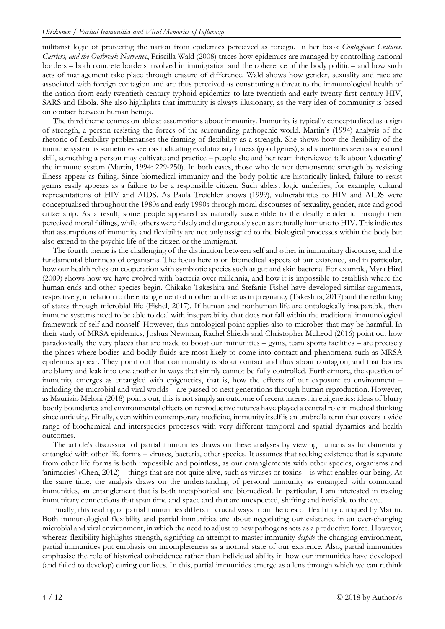militarist logic of protecting the nation from epidemics perceived as foreign. In her book *Contagious: Cultures, Carriers, and the Outbreak Narrative*, Priscilla Wald (2008) traces how epidemics are managed by controlling national borders – both concrete borders involved in immigration and the coherence of the body politic – and how such acts of management take place through erasure of difference. Wald shows how gender, sexuality and race are associated with foreign contagion and are thus perceived as constituting a threat to the immunological health of the nation from early twentieth-century typhoid epidemics to late-twentieth and early-twenty-first century HIV, SARS and Ebola. She also highlights that immunity is always illusionary, as the very idea of community is based on contact between human beings.

The third theme centres on ableist assumptions about immunity. Immunity is typically conceptualised as a sign of strength, a person resisting the forces of the surrounding pathogenic world. Martin's (1994) analysis of the rhetoric of flexibility problematises the framing of flexibility as a strength. She shows how the flexibility of the immune system is sometimes seen as indicating evolutionary fitness (good genes), and sometimes seen as a learned skill, something a person may cultivate and practice – people she and her team interviewed talk about 'educating' the immune system (Martin, 1994: 229-250). In both cases, those who do not demonstrate strength by resisting illness appear as failing. Since biomedical immunity and the body politic are historically linked, failure to resist germs easily appears as a failure to be a responsible citizen. Such ableist logic underlies, for example, cultural representations of HIV and AIDS. As Paula Treichler shows (1999), vulnerabilities to HIV and AIDS were conceptualised throughout the 1980s and early 1990s through moral discourses of sexuality, gender, race and good citizenship. As a result, some people appeared as naturally susceptible to the deadly epidemic through their perceived moral failings, while others were falsely and dangerously seen as naturally immune to HIV. This indicates that assumptions of immunity and flexibility are not only assigned to the biological processes within the body but also extend to the psychic life of the citizen or the immigrant.

The fourth theme is the challenging of the distinction between self and other in immunitary discourse, and the fundamental blurriness of organisms. The focus here is on biomedical aspects of our existence, and in particular, how our health relies on cooperation with symbiotic species such as gut and skin bacteria. For example, Myra Hird (2009) shows how we have evolved with bacteria over millennia, and how it is impossible to establish where the human ends and other species begin. Chikako Takeshita and Stefanie Fishel have developed similar arguments, respectively, in relation to the entanglement of mother and foetus in pregnancy (Takeshita, 2017) and the rethinking of states through microbial life (Fishel, 2017). If human and nonhuman life are ontologically inseparable, then immune systems need to be able to deal with inseparability that does not fall within the traditional immunological framework of self and nonself. However, this ontological point applies also to microbes that may be harmful. In their study of MRSA epidemics, Joshua Newman, Rachel Shields and Christopher McLeod (2016) point out how paradoxically the very places that are made to boost our immunities – gyms, team sports facilities – are precisely the places where bodies and bodily fluids are most likely to come into contact and phenomena such as MRSA epidemics appear. They point out that communality is about contact and thus about contagion, and that bodies are blurry and leak into one another in ways that simply cannot be fully controlled. Furthermore, the question of immunity emerges as entangled with epigenetics, that is, how the effects of our exposure to environment – including the microbial and viral worlds – are passed to next generations through human reproduction. However, as Maurizio Meloni (2018) points out, this is not simply an outcome of recent interest in epigenetics: ideas of blurry bodily boundaries and environmental effects on reproductive futures have played a central role in medical thinking since antiquity. Finally, even within contemporary medicine, immunity itself is an umbrella term that covers a wide range of biochemical and interspecies processes with very different temporal and spatial dynamics and health outcomes.

The article's discussion of partial immunities draws on these analyses by viewing humans as fundamentally entangled with other life forms – viruses, bacteria, other species. It assumes that seeking existence that is separate from other life forms is both impossible and pointless, as our entanglements with other species, organisms and 'animacies' (Chen, 2012) – things that are not quite alive, such as viruses or toxins – is what enables our being. At the same time, the analysis draws on the understanding of personal immunity as entangled with communal immunities, an entanglement that is both metaphorical and biomedical. In particular, I am interested in tracing immunitary connections that span time and space and that are unexpected, shifting and invisible to the eye.

Finally, this reading of partial immunities differs in crucial ways from the idea of flexibility critiqued by Martin. Both immunological flexibility and partial immunities are about negotiating our existence in an ever-changing microbial and viral environment, in which the need to adjust to new pathogens acts as a productive force. However, whereas flexibility highlights strength, signifying an attempt to master immunity *despite* the changing environment, partial immunities put emphasis on incompleteness as a normal state of our existence. Also, partial immunities emphasise the role of historical coincidence rather than individual ability in how our immunities have developed (and failed to develop) during our lives. In this, partial immunities emerge as a lens through which we can rethink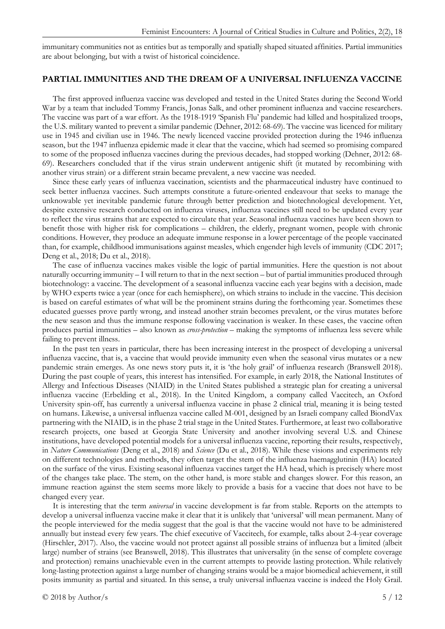immunitary communities not as entities but as temporally and spatially shaped situated affinities. Partial immunities are about belonging, but with a twist of historical coincidence.

#### **PARTIAL IMMUNITIES AND THE DREAM OF A UNIVERSAL INFLUENZA VACCINE**

The first approved influenza vaccine was developed and tested in the United States during the Second World War by a team that included Tommy Francis, Jonas Salk, and other prominent influenza and vaccine researchers. The vaccine was part of a war effort. As the 1918-1919 'Spanish Flu' pandemic had killed and hospitalized troops, the U.S. military wanted to prevent a similar pandemic (Dehner, 2012: 68-69). The vaccine was licenced for military use in 1945 and civilian use in 1946. The newly licenced vaccine provided protection during the 1946 influenza season, but the 1947 influenza epidemic made it clear that the vaccine, which had seemed so promising compared to some of the proposed influenza vaccines during the previous decades, had stopped working (Dehner, 2012: 68- 69). Researchers concluded that if the virus strain underwent antigenic shift (it mutated by recombining with another virus strain) or a different strain became prevalent, a new vaccine was needed.

Since these early years of influenza vaccination, scientists and the pharmaceutical industry have continued to seek better influenza vaccines. Such attempts constitute a future-oriented endeavour that seeks to manage the unknowable yet inevitable pandemic future through better prediction and biotechnological development. Yet, despite extensive research conducted on influenza viruses, influenza vaccines still need to be updated every year to reflect the virus strains that are expected to circulate that year. Seasonal influenza vaccines have been shown to benefit those with higher risk for complications – children, the elderly, pregnant women, people with chronic conditions. However, they produce an adequate immune response in a lower percentage of the people vaccinated than, for example, childhood immunisations against measles, which engender high levels of immunity (CDC 2017; Deng et al., 2018; Du et al., 2018).

The case of influenza vaccines makes visible the logic of partial immunities. Here the question is not about naturally occurring immunity – I will return to that in the next section – but of partial immunities produced through biotechnology: a vaccine. The development of a seasonal influenza vaccine each year begins with a decision, made by WHO experts twice a year (once for each hemisphere), on which strains to include in the vaccine. This decision is based on careful estimates of what will be the prominent strains during the forthcoming year. Sometimes these educated guesses prove partly wrong, and instead another strain becomes prevalent, or the virus mutates before the new season and thus the immune response following vaccination is weaker. In these cases, the vaccine often produces partial immunities – also known as *cross-protection* – making the symptoms of influenza less severe while failing to prevent illness.

In the past ten years in particular, there has been increasing interest in the prospect of developing a universal influenza vaccine, that is, a vaccine that would provide immunity even when the seasonal virus mutates or a new pandemic strain emerges. As one news story puts it, it is 'the holy grail' of influenza research (Branswell 2018). During the past couple of years, this interest has intensified. For example, in early 2018, the National Institutes of Allergy and Infectious Diseases (NIAID) in the United States published a strategic plan for creating a universal influenza vaccine (Erbelding et al., 2018). In the United Kingdom, a company called Vaccitech, an Oxford University spin-off, has currently a universal influenza vaccine in phase 2 clinical trial, meaning it is being tested on humans. Likewise, a universal influenza vaccine called M-001, designed by an Israeli company called BiondVax partnering with the NIAID, is in the phase 2 trial stage in the United States. Furthermore, at least two collaborative research projects, one based at Georgia State University and another involving several U.S. and Chinese institutions, have developed potential models for a universal influenza vaccine, reporting their results, respectively, in *Nature Communications* (Deng et al., 2018) and *Science* (Du et al., 2018). While these visions and experiments rely on different technologies and methods, they often target the stem of the influenza haemagglutinin (HA) located on the surface of the virus. Existing seasonal influenza vaccines target the HA head, which is precisely where most of the changes take place. The stem, on the other hand, is more stable and changes slower. For this reason, an immune reaction against the stem seems more likely to provide a basis for a vaccine that does not have to be changed every year.

It is interesting that the term *universal* in vaccine development is far from stable. Reports on the attempts to develop a universal influenza vaccine make it clear that it is unlikely that 'universal' will mean permanent. Many of the people interviewed for the media suggest that the goal is that the vaccine would not have to be administered annually but instead every few years. The chief executive of Vaccitech, for example, talks about 2-4-year coverage (Hirschler, 2017). Also, the vaccine would not protect against all possible strains of influenza but a limited (albeit large) number of strains (see Branswell, 2018). This illustrates that universality (in the sense of complete coverage and protection) remains unachievable even in the current attempts to provide lasting protection. While relatively long-lasting protection against a large number of changing strains would be a major biomedical achievement, it still posits immunity as partial and situated. In this sense, a truly universal influenza vaccine is indeed the Holy Grail.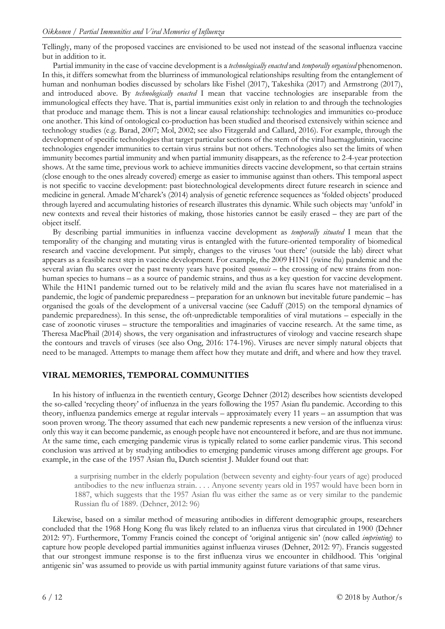Tellingly, many of the proposed vaccines are envisioned to be used not instead of the seasonal influenza vaccine but in addition to it.

Partial immunity in the case of vaccine development is a *technologically enacted* and *temporally organised* phenomenon. In this, it differs somewhat from the blurriness of immunological relationships resulting from the entanglement of human and nonhuman bodies discussed by scholars like Fishel (2017), Takeshika (2017) and Armstrong (2017), and introduced above. By *technologically enacted* I mean that vaccine technologies are inseparable from the immunological effects they have. That is, partial immunities exist only in relation to and through the technologies that produce and manage them. This is not a linear causal relationship: technologies and immunities co-produce one another. This kind of ontological co-production has been studied and theorised extensively within science and technology studies (e.g. Barad, 2007; Mol, 2002; see also Fitzgerald and Callard, 2016). For example, through the development of specific technologies that target particular sections of the stem of the viral haemagglutinin, vaccine technologies engender immunities to certain virus strains but not others. Technologies also set the limits of when immunity becomes partial immunity and when partial immunity disappears, as the reference to 2-4-year protection shows. At the same time, previous work to achieve immunities directs vaccine development, so that certain strains (close enough to the ones already covered) emerge as easier to immunise against than others. This temporal aspect is not specific to vaccine development: past biotechnological developments direct future research in science and medicine in general. Amade M'charek's (2014) analysis of genetic reference sequences as 'folded objects' produced through layered and accumulating histories of research illustrates this dynamic. While such objects may 'unfold' in new contexts and reveal their histories of making, those histories cannot be easily erased – they are part of the object itself.

By describing partial immunities in influenza vaccine development as *temporally situated* I mean that the temporality of the changing and mutating virus is entangled with the future-oriented temporality of biomedical research and vaccine development. Put simply, changes to the viruses 'out there' (outside the lab) direct what appears as a feasible next step in vaccine development. For example, the 2009 H1N1 (swine flu) pandemic and the several avian flu scares over the past twenty years have posited *zoonosis* – the crossing of new strains from nonhuman species to humans – as a source of pandemic strains, and thus as a key question for vaccine development. While the H1N1 pandemic turned out to be relatively mild and the avian flu scares have not materialised in a pandemic, the logic of pandemic preparedness – preparation for an unknown but inevitable future pandemic – has organised the goals of the development of a universal vaccine (see Caduff (2015) on the temporal dynamics of pandemic preparedness). In this sense, the oft-unpredictable temporalities of viral mutations – especially in the case of zoonotic viruses – structure the temporalities and imaginaries of vaccine research. At the same time, as Theresa MacPhail (2014) shows, the very organisation and infrastructures of virology and vaccine research shape the contours and travels of viruses (see also Ong, 2016: 174-196). Viruses are never simply natural objects that need to be managed. Attempts to manage them affect how they mutate and drift, and where and how they travel.

# **VIRAL MEMORIES, TEMPORAL COMMUNITIES**

In his history of influenza in the twentieth century, George Dehner (2012) describes how scientists developed the so-called 'recycling theory' of influenza in the years following the 1957 Asian flu pandemic. According to this theory, influenza pandemics emerge at regular intervals – approximately every 11 years – an assumption that was soon proven wrong. The theory assumed that each new pandemic represents a new version of the influenza virus: only this way it can become pandemic, as enough people have not encountered it before, and are thus not immune. At the same time, each emerging pandemic virus is typically related to some earlier pandemic virus. This second conclusion was arrived at by studying antibodies to emerging pandemic viruses among different age groups. For example, in the case of the 1957 Asian flu, Dutch scientist J. Mulder found out that:

a surprising number in the elderly population (between seventy and eighty-four years of age) produced antibodies to the new influenza strain. . . . Anyone seventy years old in 1957 would have been born in 1887, which suggests that the 1957 Asian flu was either the same as or very similar to the pandemic Russian flu of 1889. (Dehner, 2012: 96)

Likewise, based on a similar method of measuring antibodies in different demographic groups, researchers concluded that the 1968 Hong Kong flu was likely related to an influenza virus that circulated in 1900 (Dehner 2012: 97). Furthermore, Tommy Francis coined the concept of 'original antigenic sin' (now called *imprinting*) to capture how people developed partial immunities against influenza viruses (Dehner, 2012: 97). Francis suggested that our strongest immune response is to the first influenza virus we encounter in childhood. This 'original antigenic sin' was assumed to provide us with partial immunity against future variations of that same virus.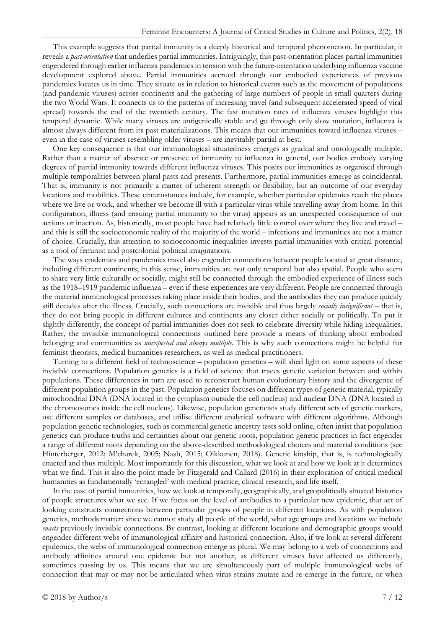This example suggests that partial immunity is a deeply historical and temporal phenomenon. In particular, it reveals a *past-orientation* that underlies partial immunities. Intriguingly, this past-orientation places partial immunities engendered through earlier influenza pandemics in tension with the future-orientation underlying influenza vaccine development explored above. Partial immunities accrued through our embodied experiences of previous pandemics locates us in time. They situate us in relation to historical events such as the movement of populations (and pandemic viruses) across continents and the gathering of large numbers of people in small quarters during the two World Wars. It connects us to the patterns of increasing travel (and subsequent accelerated speed of viral spread) towards the end of the twentieth century. The fast mutation rates of influenza viruses highlight this temporal dynamic. While many viruses are antigenically stable and go through only slow mutation, influenza is almost always different from its past materializations. This means that our immunities toward influenza viruses – even in the case of viruses resembling older viruses – are inevitably partial at best.

One key consequence is that our immunological situatedness emerges as gradual and ontologically multiple. Rather than a matter of absence or presence of immunity to influenza in general, our bodies embody varying degrees of partial immunity towards different influenza viruses. This posits our immunities as organised through multiple temporalities between plural pasts and presents. Furthermore, partial immunities emerge as coincidental. That is, immunity is not primarily a matter of inherent strength or flexibility, but an outcome of our everyday locations and mobilities. These circumstances include, for example, whether particular epidemics reach the places where we live or work, and whether we become ill with a particular virus while travelling away from home. In this configuration, illness (and ensuing partial immunity to the virus) appears as an unexpected consequence of our actions or inaction. As, historically, most people have had relatively little control over where they live and travel – and this is still the socioeconomic reality of the majority of the world – infections and immunities are not a matter of choice. Crucially, this attention to socioeconomic inequalities invests partial immunities with critical potential as a tool of feminist and postcolonial political imaginations.

The ways epidemics and pandemics travel also engender connections between people located at great distance, including different continents; in this sense, immunities are not only temporal but also spatial. People who seem to share very little culturally or socially, might still be connected through the embodied experience of illness such as the 1918–1919 pandemic influenza – even if these experiences are very different. People are connected through the material immunological processes taking place inside their bodies, and the antibodies they can produce quickly still decades after the illness. Crucially, such connections are invisible and thus largely *socially insignificant* – that is, they do not bring people in different cultures and continents any closer either socially or politically. To put it slightly differently, the concept of partial immunities does not seek to celebrate diversity while hiding inequalities. Rather, the invisible immunological connections outlined here provide a means of thinking about embodied belonging and communities as *unexpected and always multiple*. This is why such connections might be helpful for feminist theorists, medical humanities researchers, as well as medical practitioners.

Turning to a different field of technoscience – population genetics – will shed light on some aspects of these invisible connections. Population genetics is a field of science that traces genetic variation between and within populations. These differences in turn are used to reconstruct human evolutionary history and the divergence of different population groups in the past. Population genetics focuses on different types of genetic material, typically mitochondrial DNA (DNA located in the cytoplasm outside the cell nucleus) and nuclear DNA (DNA located in the chromosomes inside the cell nucleus). Likewise, population geneticists study different sets of genetic markers, use different samples or databases, and utilise different analytical software with different algorithms. Although population genetic technologies, such as commercial genetic ancestry tests sold online, often insist that population genetics can produce truths and certainties about our genetic roots, population genetic practices in fact engender a range of different roots depending on the above-described methodological choices and material conditions (see Hinterberger, 2012; M'charek, 2005; Nash, 2015; Oikkonen, 2018). Genetic kinship, that is, is technologically enacted and thus multiple. Most importantly for this discussion, what we look at and how we look at it determines what we find. This is also the point made by Fitzgerald and Callard (2016) in their exploration of critical medical humanities as fundamentally 'entangled' with medical practice, clinical research, and life itself.

In the case of partial immunities, how we look at temporally, geographically, and geopolitically situated histories of people structures what we see. If we focus on the level of antibodies to a particular new epidemic, that act of looking constructs connections between particular groups of people in different locations. As with population genetics, methods matter: since we cannot study all people of the world, what age groups and locations we include *enacts* previously invisible connections. By contrast, looking at different locations and demographic groups would engender different webs of immunological affinity and historical connection. Also, if we look at several different epidemics, the webs of immunological connection emerge as plural. We may belong to a web of connections and antibody affinities around one epidemic but not another, as different viruses have affected us differently, sometimes passing by us. This means that we are simultaneously part of multiple immunological webs of connection that may or may not be articulated when virus strains mutate and re-emerge in the future, or when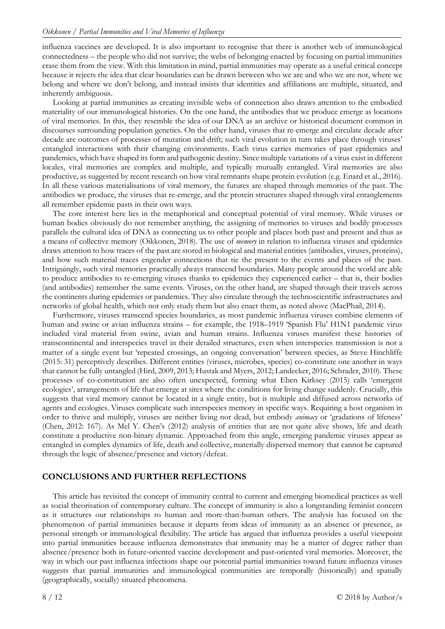influenza vaccines are developed. It is also important to recognise that there is another web of immunological connectedness – the people who did not survive; the webs of belonging enacted by focusing on partial immunities erase them from the view. With this limitation in mind, partial immunities may operate as a useful critical concept because it rejects the idea that clear boundaries can be drawn between who we are and who we are not, where we belong and where we don't belong, and instead insists that identities and affiliations are multiple, situated, and inherently ambiguous.

Looking at partial immunities as creating invisible webs of connection also draws attention to the embodied materiality of our immunological histories. On the one hand, the antibodies that we produce emerge as locations of viral memories. In this, they resemble the idea of our DNA as an archive or historical document common in discourses surrounding population genetics. On the other hand, viruses that re-emerge and circulate decade after decade are outcomes of processes of mutation and drift; such viral evolution in turn takes place through viruses' entangled interactions with their changing environments. Each virus carries memories of past epidemics and pandemics, which have shaped its form and pathogenic destiny. Since multiple variations of a virus exist in different locales, viral memories are complex and multiple, and typically mutually entangled. Viral memories are also productive, as suggested by recent research on how viral remnants shape protein evolution (e.g. Enard et al., 2016). In all these various materialisations of viral memory, the futures are shaped through memories of the past. The antibodies we produce, the viruses that re-emerge, and the protein structures shaped through viral entanglements all remember epidemic pasts in their own ways.

The core interest here lies in the metaphorical and conceptual potential of viral memory. While viruses or human bodies obviously do not remember anything, the assigning of memories to viruses and bodily processes parallels the cultural idea of DNA as connecting us to other people and places both past and present and thus as a means of collective memory (Oikkonen, 2018). The use of *memory* in relation to influenza viruses and epidemics draws attention to how traces of the past are stored in biological and material entities (antibodies, viruses, proteins), and how such material traces engender connections that tie the present to the events and places of the past. Intriguingly, such viral memories practically always transcend boundaries. Many people around the world are able to produce antibodies to re-emerging viruses thanks to epidemics they experienced earlier – that is, their bodies (and antibodies) remember the same events. Viruses, on the other hand, are shaped through their travels across the continents during epidemics or pandemics. They also circulate through the technoscientific infrastructures and networks of global health, which not only study them but also enact them, as noted above (MacPhail, 2014).

Furthermore, viruses transcend species boundaries, as most pandemic influenza viruses combine elements of human and swine or avian influenza strains – for example, the 1918–1919 'Spanish Flu' H1N1 pandemic virus included viral material from swine, avian and human strains. Influenza viruses manifest these histories of transcontinental and interspecies travel in their detailed structures, even when interspecies transmission is not a matter of a single event but 'repeated crossings, an ongoing conversation' between species, as Steve Hinchliffe (2015: 31) perceptively describes. Different entities (viruses, microbes, species) co-constitute one another in ways that cannot be fully untangled (Hird, 2009, 2013; Hustak and Myers, 2012; Landecker, 2016; Schrader, 2010). These processes of co-constitution are also often unexpected, forming what Eben Kirksey (2015) calls 'emergent ecologies', arrangements of life that emerge at sites where the conditions for living change suddenly. Crucially, this suggests that viral memory cannot be located in a single entity, but is multiple and diffused across networks of agents and ecologies. Viruses complicate such interspecies memory in specific ways. Requiring a host organism in order to thrive and multiply, viruses are neither living nor dead, but embody *animacy* or 'gradations of lifeness' (Chen, 2012: 167). As Mel Y. Chen's (2012) analysis of entities that are not quite alive shows, life and death constitute a productive non-binary dynamic. Approached from this angle, emerging pandemic viruses appear as entangled in complex dynamics of life, death and collective, materially dispersed memory that cannot be captured through the logic of absence/presence and victory/defeat.

#### **CONCLUSIONS AND FURTHER REFLECTIONS**

This article has revisited the concept of immunity central to current and emerging biomedical practices as well as social theorisation of contemporary culture. The concept of immunity is also a longstanding feminist concern as it structures our relationships to human and more-than-human others. The analysis has focused on the phenomenon of partial immunities because it departs from ideas of immunity as an absence or presence, as personal strength or immunological flexibility. The article has argued that influenza provides a useful viewpoint into partial immunities because influenza demonstrates that immunity may be a matter of degree rather than absence/presence both in future-oriented vaccine development and past-oriented viral memories. Moreover, the way in which our past influenza infections shape our potential partial immunities toward future influenza viruses suggests that partial immunities and immunological communities are temporally (historically) and spatially (geographically, socially) situated phenomena.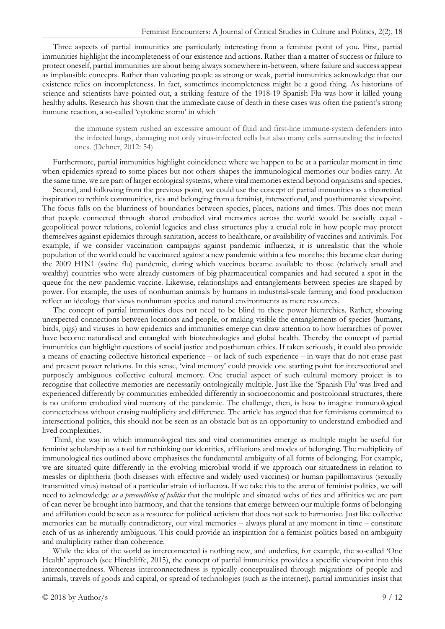Three aspects of partial immunities are particularly interesting from a feminist point of you. First, partial immunities highlight the incompleteness of our existence and actions. Rather than a matter of success or failure to protect oneself, partial immunities are about being always somewhere in-between, where failure and success appear as implausible concepts. Rather than valuating people as strong or weak, partial immunities acknowledge that our existence relies on incompleteness. In fact, sometimes incompleteness might be a good thing. As historians of science and scientists have pointed out, a striking feature of the 1918-19 Spanish Flu was how it killed young healthy adults. Research has shown that the immediate cause of death in these cases was often the patient's strong immune reaction, a so-called 'cytokine storm' in which

the immune system rushed an excessive amount of fluid and first-line immune-system defenders into the infected lungs, damaging not only virus-infected cells but also many cells surrounding the infected ones. (Dehner, 2012: 54)

Furthermore, partial immunities highlight coincidence: where we happen to be at a particular moment in time when epidemics spread to some places but not others shapes the immunological memories our bodies carry. At the same time, we are part of larger ecological systems, where viral memories extend beyond organisms and species.

Second, and following from the previous point, we could use the concept of partial immunities as a theoretical inspiration to rethink communities, ties and belonging from a feminist, intersectional, and posthumanist viewpoint. The focus falls on the blurriness of boundaries between species, places, nations and times. This does not mean that people connected through shared embodied viral memories across the world would be socially equal geopolitical power relations, colonial legacies and class structures play a crucial role in how people may protect themselves against epidemics through sanitation, access to healthcare, or availability of vaccines and antivirals. For example, if we consider vaccination campaigns against pandemic influenza, it is unrealistic that the whole population of the world could be vaccinated against a new pandemic within a few months; this became clear during the 2009 H1N1 (swine flu) pandemic, during which vaccines became available to those (relatively small and wealthy) countries who were already customers of big pharmaceutical companies and had secured a spot in the queue for the new pandemic vaccine. Likewise, relationships and entanglements between species are shaped by power. For example, the uses of nonhuman animals by humans in industrial-scale farming and food production reflect an ideology that views nonhuman species and natural environments as mere resources.

The concept of partial immunities does not need to be blind to these power hierarchies. Rather, showing unexpected connections between locations and people, or making visible the entanglements of species (humans, birds, pigs) and viruses in how epidemics and immunities emerge can draw attention to how hierarchies of power have become naturalised and entangled with biotechnologies and global health. Thereby the concept of partial immunities can highlight questions of social justice and posthuman ethics. If taken seriously, it could also provide a means of enacting collective historical experience – or lack of such experience – in ways that do not erase past and present power relations. In this sense, 'viral memory' could provide one starting point for intersectional and purposely ambiguous collective cultural memory. One crucial aspect of such cultural memory project is to recognise that collective memories are necessarily ontologically multiple. Just like the 'Spanish Flu' was lived and experienced differently by communities embedded differently in socioeconomic and postcolonial structures, there is no uniform embodied viral memory of the pandemic. The challenge, then, is how to imagine immunological connectedness without erasing multiplicity and difference. The article has argued that for feminisms committed to intersectional politics, this should not be seen as an obstacle but as an opportunity to understand embodied and lived complexities.

Third, the way in which immunological ties and viral communities emerge as multiple might be useful for feminist scholarship as a tool for rethinking our identities, affiliations and modes of belonging. The multiplicity of immunological ties outlined above emphasises the fundamental ambiguity of all forms of belonging. For example, we are situated quite differently in the evolving microbial world if we approach our situatedness in relation to measles or diphtheria (both diseases with effective and widely used vaccines) or human papillomavirus (sexually transmitted virus) instead of a particular strain of influenza. If we take this to the arena of feminist politics, we will need to acknowledge *as a precondition of politics* that the multiple and situated webs of ties and affinities we are part of can never be brought into harmony, and that the tensions that emerge between our multiple forms of belonging and affiliation could be seen as a resource for political activism that does not seek to harmonise. Just like collective memories can be mutually contradictory, our viral memories – always plural at any moment in time – constitute each of us as inherently ambiguous. This could provide an inspiration for a feminist politics based on ambiguity and multiplicity rather than coherence.

While the idea of the world as interconnected is nothing new, and underlies, for example, the so-called 'One Health' approach (see Hinchliffe, 2015), the concept of partial immunities provides a specific viewpoint into this interconnectedness. Whereas interconnectedness is typically conceptualised through migrations of people and animals, travels of goods and capital, or spread of technologies (such as the internet), partial immunities insist that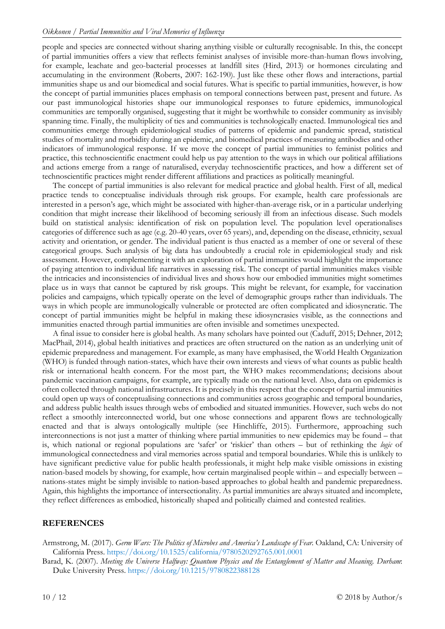people and species are connected without sharing anything visible or culturally recognisable. In this, the concept of partial immunities offers a view that reflects feminist analyses of invisible more-than-human flows involving, for example, leachate and geo-bacterial processes at landfill sites (Hird, 2013) or hormones circulating and accumulating in the environment (Roberts, 2007: 162-190). Just like these other flows and interactions, partial immunities shape us and our biomedical and social futures. What is specific to partial immunities, however, is how the concept of partial immunities places emphasis on temporal connections between past, present and future. As our past immunological histories shape our immunological responses to future epidemics, immunological communities are temporally organised, suggesting that it might be worthwhile to consider community as invisibly spanning time. Finally, the multiplicity of ties and communities is technologically enacted. Immunological ties and communities emerge through epidemiological studies of patterns of epidemic and pandemic spread, statistical studies of mortality and morbidity during an epidemic, and biomedical practices of measuring antibodies and other indicators of immunological response. If we move the concept of partial immunities to feminist politics and practice, this technoscientific enactment could help us pay attention to the ways in which our political affiliations and actions emerge from a range of naturalised, everyday technoscientific practices, and how a different set of technoscientific practices might render different affiliations and practices as politically meaningful.

The concept of partial immunities is also relevant for medical practice and global health. First of all, medical practice tends to conceptualise individuals through risk groups. For example, health care professionals are interested in a person's age, which might be associated with higher-than-average risk, or in a particular underlying condition that might increase their likelihood of becoming seriously ill from an infectious disease. Such models build on statistical analysis: identification of risk on population level. The population level operationalises categories of difference such as age (e.g. 20-40 years, over 65 years), and, depending on the disease, ethnicity, sexual activity and orientation, or gender. The individual patient is thus enacted as a member of one or several of these categorical groups. Such analysis of big data has undoubtedly a crucial role in epidemiological study and risk assessment. However, complementing it with an exploration of partial immunities would highlight the importance of paying attention to individual life narratives in assessing risk. The concept of partial immunities makes visible the intricacies and inconsistencies of individual lives and shows how our embodied immunities might sometimes place us in ways that cannot be captured by risk groups. This might be relevant, for example, for vaccination policies and campaigns, which typically operate on the level of demographic groups rather than individuals. The ways in which people are immunologically vulnerable or protected are often complicated and idiosyncratic. The concept of partial immunities might be helpful in making these idiosyncrasies visible, as the connections and immunities enacted through partial immunities are often invisible and sometimes unexpected.

A final issue to consider here is global health. As many scholars have pointed out (Caduff, 2015; Dehner, 2012; MacPhail, 2014), global health initiatives and practices are often structured on the nation as an underlying unit of epidemic preparedness and management. For example, as many have emphasised, the World Health Organization (WHO) is funded through nation-states, which have their own interests and views of what counts as public health risk or international health concern. For the most part, the WHO makes recommendations; decisions about pandemic vaccination campaigns, for example, are typically made on the national level. Also, data on epidemics is often collected through national infrastructures. It is precisely in this respect that the concept of partial immunities could open up ways of conceptualising connections and communities across geographic and temporal boundaries, and address public health issues through webs of embodied and situated immunities. However, such webs do not reflect a smoothly interconnected world, but one whose connections and apparent flows are technologically enacted and that is always ontologically multiple (see Hinchliffe, 2015). Furthermore, approaching such interconnections is not just a matter of thinking where partial immunities to new epidemics may be found – that is, which national or regional populations are 'safer' or 'riskier' than others – but of rethinking the *logic* of immunological connectedness and viral memories across spatial and temporal boundaries. While this is unlikely to have significant predictive value for public health professionals, it might help make visible omissions in existing nation-based models by showing, for example, how certain marginalised people within – and especially between – nations-states might be simply invisible to nation-based approaches to global health and pandemic preparedness. Again, this highlights the importance of intersectionality. As partial immunities are always situated and incomplete, they reflect differences as embodied, historically shaped and politically claimed and contested realities.

## **REFERENCES**

Armstrong, M. (2017). *Germ Wars: The Politics of Microbes and America's Landscape of Fear.* Oakland, CA: University of California Press. <https://doi.org/10.1525/california/9780520292765.001.0001>

Barad, K. (2007). *Meeting the Universe Halfway: Quantum Physics and the Entanglement of Matter and Meaning. Durham*: Duke University Press. <https://doi.org/10.1215/9780822388128>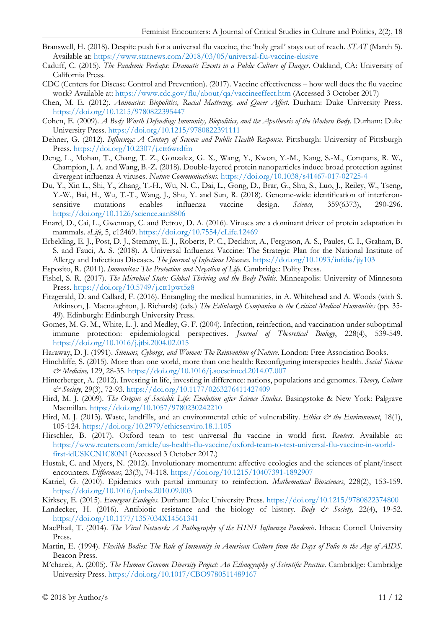- Branswell, H. (2018). Despite push for a universal flu vaccine, the 'holy grail' stays out of reach. *STAT* (March 5). Available at:<https://www.statnews.com/2018/03/05/universal-flu-vaccine-elusive>
- Caduff, C. (2015). *The Pandemic Perhaps: Dramatic Events in a Public Culture of Danger*. Oakland, CA: University of California Press.
- CDC (Centers for Disease Control and Prevention). (2017). Vaccine effectiveness how well does the flu vaccine work? Available at:<https://www.cdc.gov/flu/about/qa/vaccineeffect.htm> (Accessed 3 October 2017)
- Chen, M. E. (2012). *Animacies: Biopolitics, Racial Mattering, and Queer Affect*. Durham: Duke University Press. <https://doi.org/10.1215/9780822395447>
- Cohen, E. (2009). *A Body Worth Defending: Immunity, Biopolitics, and the Apotheosis of the Modern Body.* Durham: Duke University Press.<https://doi.org/10.1215/9780822391111>
- Dehner, G. (2012). *Influenza: A Century of Science and Public Health Response*. Pittsburgh: University of Pittsburgh Press. <https://doi.org/10.2307/j.ctt6wrdfm>
- Deng, L., Mohan, T., Chang, T. Z., Gonzalez, G. X., Wang, Y., Kwon, Y.-M., Kang, S.-M., Compans, R. W., Champion, J. A. and Wang, B.-Z. (2018). Double-layered protein nanoparticles induce broad protection against divergent influenza A viruses. *Nature Communications.* <https://doi.org/10.1038/s41467-017-02725-4>
- Du, Y., Xin L., Shi, Y., Zhang, T.-H., Wu, N. C., Dai, L., Gong, D., Brar, G., Shu, S., Luo, J., Reiley, W., Tseng, Y.-W., Bai, H., Wu, T.-T., Wang, J., Shu, Y. and Sun, R. (2018). Genome-wide identification of interferonsensitive mutations enables influenza vaccine design. *Science,* 359(6373), 290-296. <https://doi.org/10.1126/science.aan8806>
- Enard, D., Cai, L., Gwennap, C. and Petrov, D. A. (2016). Viruses are a dominant driver of protein adaptation in mammals. *eLife*, 5, e12469.<https://doi.org/10.7554/eLife.12469>
- Erbelding, E. J., Post, D. J., Stemmy, E. J., Roberts, P. C., Deckhut, A., Ferguson, A. S., Paules, C. I., Graham, B. S. and Fauci, A. S. (2018). A Universal Influenza Vaccine: The Strategic Plan for the National Institute of Allergy and Infectious Diseases. *The Journal of Infectious Diseases*.<https://doi.org/10.1093/infdis/jiy103>
- Esposito, R. (2011). *Immunitas: The Protection and Negation of Life*. Cambridge: Polity Press.
- Fishel, S. R. (2017). *The Microbial State: Global Thriving and the Body Politic*. Minneapolis: University of Minnesota Press. <https://doi.org/10.5749/j.ctt1pwt5z8>
- Fitzgerald, D. and Callard, F. (2016). Entangling the medical humanities, in A. Whitehead and A. Woods (with S. Atkinson, J. Macnaughton, J. Richards) (eds.) *The Edinburgh Companion to the Critical Medical Humanities* (pp. 35- 49). Edinburgh: Edinburgh University Press.
- Gomes, M. G. M., White, L. J. and Medley, G. F. (2004). Infection, reinfection, and vaccination under suboptimal immune protection: epidemiological perspectives. *Journal of Theoretical Biology*, 228(4), 539-549. <https://doi.org/10.1016/j.jtbi.2004.02.015>
- Haraway, D. J. (1991). *Simians, Cyborgs, and Women: The Reinvention of Nature*. London: Free Association Books.
- Hinchliffe, S. (2015). More than one world, more than one health: Reconfiguring interspecies health. *Social Science & Medicine,* 129, 28-35. <https://doi.org/10.1016/j.socscimed.2014.07.007>
- Hinterberger, A. (2012). Investing in life, investing in difference: nations, populations and genomes. *Theory, Culture & Society*, 29(3), 72-93.<https://doi.org/10.1177/0263276411427409>
- Hird, M. J. (2009). *The Origins of Sociable Life: Evolution after Science Studies*. Basingstoke & New York: Palgrave Macmillan. <https://doi.org/10.1057/9780230242210>
- Hird, M. J. (2013). Waste, landfills, and an environmental ethic of vulnerability. *Ethics & the Environment*, 18(1), 105-124. <https://doi.org/10.2979/ethicsenviro.18.1.105>
- Hirschler, B. (2017). Oxford team to test universal flu vaccine in world first. *Reuters.* Available at: [https://www.reuters.com/article/us-health-flu-vaccine/oxford-team-to-test-universal-flu-vaccine-in-world](https://www.reuters.com/article/us-health-flu-vaccine/oxford-team-to-test-universal-flu-vaccine-in-world-first-idUSKCN1C80NI)[first-idUSKCN1C80NI](https://www.reuters.com/article/us-health-flu-vaccine/oxford-team-to-test-universal-flu-vaccine-in-world-first-idUSKCN1C80NI) (Accessed 3 October 2017.)
- Hustak, C. and Myers, N. (2012). Involutionary momentum: affective ecologies and the sciences of plant/insect encounters. *Differences,* 23(3), 74-118. <https://doi.org/10.1215/10407391-1892907>
- Katriel, G. (2010). Epidemics with partial immunity to reinfection. *Mathematical Biosciences*, 228(2), 153-159. <https://doi.org/10.1016/j.mbs.2010.09.003>
- Kirksey, E. (2015). *Emergent Ecologies*. Durham: Duke University Press. <https://doi.org/10.1215/9780822374800>
- Landecker, H. (2016). Antibiotic resistance and the biology of history. *Body & Society*, 22(4), 19-52. <https://doi.org/10.1177/1357034X14561341>
- MacPhail, T. (2014). *The Viral Network: A Pathography of the H1N1 Influenza Pandemic*. Ithaca: Cornell University Press.
- Martin, E. (1994). *Flexible Bodies: The Role of Immunity in American Culture from the Days of Polio to the Age of AIDS*. Beacon Press.
- M'charek, A. (2005). *The Human Genome Diversity Project: An Ethnography of Scientific Practice*. Cambridge: Cambridge University Press. <https://doi.org/10.1017/CBO9780511489167>